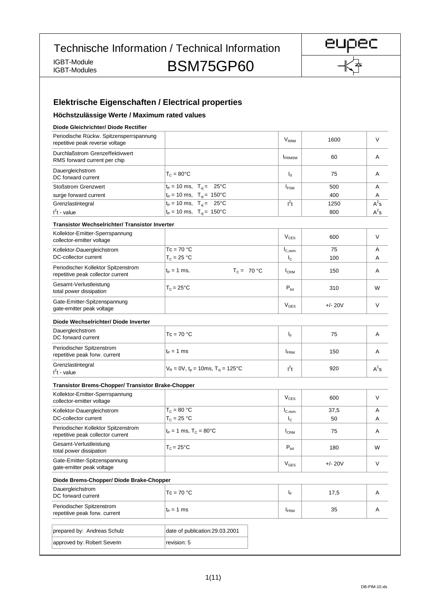Technische Information / Technical Information

IGBT-Module

IGBT-Module<br>IGBT-Modules BSM75GP60



# **Elektrische Eigenschaften / Electrical properties**

#### **Höchstzulässige Werte / Maximum rated values**

| Diode Gleichrichter/ Diode Rectifier                                       |                                               |                        |           |        |
|----------------------------------------------------------------------------|-----------------------------------------------|------------------------|-----------|--------|
| Periodische Rückw. Spitzensperrspannung<br>repetitive peak reverse voltage |                                               | <b>V<sub>RRM</sub></b> | 1600      | V      |
| Durchlaßstrom Grenzeffektivwert<br>RMS forward current per chip            |                                               | <b>FRMSM</b>           | 60        | A      |
| Dauergleichstrom<br>DC forward current                                     | $T_c = 80^{\circ}$ C                          | $I_d$                  | 75        | A      |
| <b>Stoßstrom Grenzwert</b>                                                 | $t_P = 10$ ms, $T_{vi} = 25$ °C               | $I_{FSM}$              | 500       | Α      |
| surge forward current                                                      | $t_P = 10$ ms, $T_{vi} = 150$ °C              |                        | 400       | Α      |
| Grenzlastintegral                                                          | $t_P = 10$ ms, $T_{vi} = 25$ °C               | $l^2t$                 | 1250      | $A^2s$ |
| $I2t$ - value                                                              | $t_P = 10$ ms, $T_{vi} = 150^{\circ}$ C       |                        | 800       | $A^2s$ |
| <b>Transistor Wechselrichter/ Transistor Inverter</b>                      |                                               |                        |           |        |
| Kollektor-Emitter-Sperrspannung<br>collector-emitter voltage               |                                               | $V_{CES}$              | 600       | V      |
| Kollektor-Dauergleichstrom                                                 | $Tc = 70 °C$                                  | $I_{C,nom.}$           | 75        | Α      |
| DC-collector current                                                       | $T_c = 25 °C$                                 | $I_{\rm C}$            | 100       | Α      |
| Periodischer Kollektor Spitzenstrom<br>repetitive peak collector current   | $T_c = 70 °C$<br>$t_{p} = 1$ ms,              | $I_{CRM}$              | 150       | A      |
| Gesamt-Verlustleistung<br>total power dissipation                          | $T_c = 25^{\circ}$ C                          | $P_{\text{tot}}$       | 310       | W      |
| Gate-Emitter-Spitzenspannung<br>gate-emitter peak voltage                  |                                               | $\rm V_{GES}$          | $+/- 20V$ | V      |
| Diode Wechselrichter/ Diode Inverter                                       |                                               |                        |           |        |
| Dauergleichstrom<br>DC forward current                                     | $Tc = 70 °C$                                  | ΙF                     | 75        | Α      |
| Periodischer Spitzenstrom<br>repetitive peak forw. current                 | $t_P = 1$ ms                                  | $I_{\text{FRM}}$       | 150       | Α      |
| Grenzlastintegral<br>$I2t$ - value                                         | $V_R = 0V$ , $t_p = 10$ ms, $T_{vi} = 125$ °C | $l^2t$                 | 920       | $A^2s$ |
| <b>Transistor Brems-Chopper/ Transistor Brake-Chopper</b>                  |                                               |                        |           |        |
| Kollektor-Emitter-Sperrspannung<br>collector-emitter voltage               |                                               | $V_{CES}$              | 600       | V      |
| Kollektor-Dauergleichstrom                                                 | $T_c = 80 °C$                                 | $I_{C,nom.}$           | 37,5      | A      |
| DC-collector current                                                       | $T_c = 25 °C$                                 | $I_{\rm C}$            | 50        | A      |
| Periodischer Kollektor Spitzenstrom<br>repetitive peak collector current   | $t_P = 1$ ms, $T_C = 80^{\circ}$ C            | $I_{CRM}$              | 75        | Α      |
| Gesamt-Verlustleistung<br>total power dissipation                          | $T_c = 25^{\circ}C$                           | $P_{\text{tot}}$       | 180       | W      |
| Gate-Emitter-Spitzenspannung<br>gate-emitter peak voltage                  |                                               | $V_{\text{GES}}$       | $+/- 20V$ | V      |
| Diode Brems-Chopper/ Diode Brake-Chopper                                   |                                               |                        |           |        |
| Dauergleichstrom<br>DC forward current                                     | $Tc = 70 °C$                                  | $I_F$                  | 17,5      | Α      |
| Periodischer Spitzenstrom<br>repetitive peak forw. current                 | $t_P = 1$ ms                                  | <b>IFRM</b>            | 35        | Α      |
| prepared by: Andreas Schulz                                                | date of publication:29.03.2001                |                        |           |        |
| approved by: Robert Severin                                                | revision: 5                                   |                        |           |        |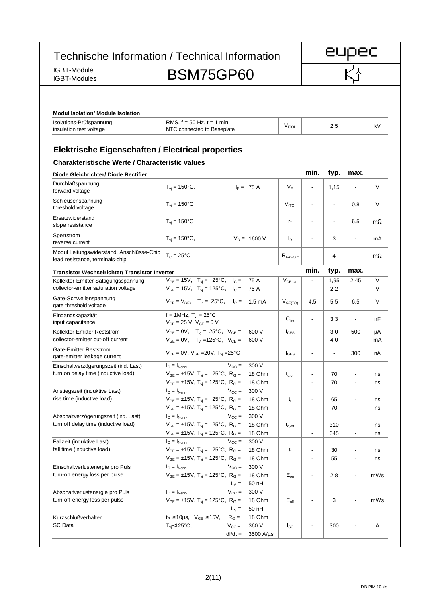IGBT-Module

# IGBT-Module<br>IGBT-Modules BSM75GP60

eupec

| Isolations-Prüfspannung<br>insulation test voltage                                                                 | RMS, $f = 50$ Hz, $t = 1$ min.<br>NTC connected to Baseplate                                                                                  |                                        |                              | $V_{ISOL}$                            |                                                      | 2,5            |                                                      | kV          |
|--------------------------------------------------------------------------------------------------------------------|-----------------------------------------------------------------------------------------------------------------------------------------------|----------------------------------------|------------------------------|---------------------------------------|------------------------------------------------------|----------------|------------------------------------------------------|-------------|
| <b>Elektrische Eigenschaften / Electrical properties</b><br><b>Charakteristische Werte / Characteristic values</b> |                                                                                                                                               |                                        |                              |                                       |                                                      |                |                                                      |             |
| Diode Gleichrichter/ Diode Rectifier                                                                               |                                                                                                                                               |                                        |                              |                                       | min.                                                 | typ.           | max.                                                 |             |
| Durchlaßspannung<br>forward voltage                                                                                | $T_{vi} = 150^{\circ}C,$                                                                                                                      |                                        | $I_F = 75 A$                 | $V_{F}$                               |                                                      | 1,15           |                                                      | $\vee$      |
| Schleusenspannung<br>threshold voltage                                                                             | $T_{vi} = 150^{\circ}C$                                                                                                                       |                                        |                              | $V_{(TO)}$                            |                                                      | $\overline{a}$ | 0,8                                                  | V           |
| Ersatzwiderstand<br>slope resistance                                                                               | $T_{vi} = 150^{\circ}C$                                                                                                                       |                                        |                              | $r_{\text{T}}$                        | ä,                                                   |                | 6,5                                                  | $m\Omega$   |
| Sperrstrom<br>reverse current                                                                                      | $T_{vi} = 150^{\circ}C,$                                                                                                                      |                                        | $V_R = 1600 V$               | $I_R$                                 |                                                      | 3              | $\overline{a}$                                       | mA          |
| Modul Leitungswiderstand, Anschlüsse-Chip<br>lead resistance, terminals-chip                                       | $T_c = 25^{\circ}C$                                                                                                                           |                                        |                              | $R_{AA' + CC'}$                       |                                                      | 4              | $\overline{\phantom{a}}$                             | $m\Omega$   |
| <b>Transistor Wechselrichter/ Transistor Inverter</b>                                                              |                                                                                                                                               |                                        |                              |                                       | min.                                                 | typ.           | max.                                                 |             |
| Kollektor-Emitter Sättigungsspannung<br>collector-emitter saturation voltage                                       | $V_{GE} = 15V$ , $T_{vi} = 25^{\circ}C$ , $I_C = 75 A$<br>$V_{GE}$ = 15V, T <sub>vi</sub> = 125°C, I <sub>C</sub> = 75 A                      |                                        |                              | $V_{CE\ sat}$                         | $\overline{\phantom{0}}$<br>$\overline{\phantom{a}}$ | 1,95<br>2,2    | 2,45<br>$\overline{\phantom{a}}$                     | $\vee$<br>V |
| Gate-Schwellenspannung<br>gate threshold voltage                                                                   | $V_{CE} = V_{GE}$ , $T_{vj} = 25^{\circ}C$ , $I_C = 1,5 \text{ mA}$                                                                           |                                        |                              | $V_{GE(TO)}$                          | 4,5                                                  | 5,5            | 6,5                                                  | V           |
| Eingangskapazität<br>input capacitance                                                                             | f = 1MHz, $T_{vi} = 25^{\circ}C$<br>$V_{CE} = 25 V$ , $V_{GE} = 0 V$                                                                          |                                        |                              | $C_{\text{ies}}$                      | $\overline{\phantom{a}}$                             | 3,3            | $\overline{\phantom{a}}$                             | nF          |
| Kollektor-Emitter Reststrom<br>collector-emitter cut-off current                                                   | $V_{GE} = 0V$ , $T_{vi} = 25^{\circ}C$ , $V_{CE} =$<br>$V_{GE} = 0V$ , $T_{vi} = 125^{\circ}C$ , $V_{CE} =$                                   |                                        | 600 V<br>600 V               | $I_{\text{CES}}$                      | $\overline{\phantom{a}}$<br>$\blacksquare$           | 3,0<br>4,0     | 500<br>$\overline{\phantom{a}}$                      | μA<br>mA    |
| Gate-Emitter Reststrom<br>gate-emitter leakage current                                                             | $V_{CE} = 0V$ , $V_{GE} = 20V$ , $T_{vi} = 25^{\circ}C$                                                                                       |                                        |                              | $I_{\text{GES}}$                      | $\overline{\phantom{a}}$                             | $\overline{a}$ | 300                                                  | nA          |
| Einschaltverzögerungszeit (ind. Last)                                                                              | $I_{C} = I_{Nenn}$                                                                                                                            | $V_{\rm CC} =$                         | 300 V                        |                                       |                                                      |                |                                                      |             |
| turn on delay time (inductive load)                                                                                | $V_{GE} = \pm 15V$ , $T_{vi} = 25^{\circ}C$ , $R_{G} =$<br>$V_{GE} = \pm 15V$ , $T_{vi} = 125^{\circ}C$ , $R_G =$                             |                                        | 18 Ohm<br>18 Ohm             | $\mathsf{t}_{\mathsf{d},\mathsf{on}}$ | $\overline{\phantom{0}}$<br>$\overline{\phantom{a}}$ | 70<br>70       | $\overline{\phantom{a}}$<br>$\overline{\phantom{a}}$ | ns<br>ns    |
| Anstiegszeit (induktive Last)                                                                                      | $I_{C} = I_{Nenn}$                                                                                                                            | $V_{\rm CC} =$                         | 300 V                        |                                       |                                                      |                |                                                      |             |
| rise time (inductive load)                                                                                         | $V_{GE} = \pm 15V$ , $T_{vi} = 25^{\circ}C$ , $R_G =$<br>$V_{GE} = \pm 15V$ , $T_{vi} = 125^{\circ}C$ , $R_G =$                               |                                        | 18 Ohm<br>18 Ohm             | $t_{r}$                               | $\overline{\phantom{a}}$                             | 65<br>70       |                                                      | ns<br>ns    |
| Abschaltverzögerungszeit (ind. Last)<br>turn off delay time (inductive load)                                       | $I_{\rm C} = I_{\rm Nenn}$<br>$V_{GE} = \pm 15V$ , $T_{vi} = 25^{\circ}C$ , $R_G =$<br>$V_{GE} = \pm 15V$ , $T_{vj} = 125^{\circ}C$ , $R_G =$ | $V_{\rm CC} =$                         | 300 V<br>18 Ohm<br>18 Ohm    | $\mathsf{t}_{\sf d, off}$             |                                                      | 310<br>345     | $\overline{\phantom{a}}$<br>$\overline{\phantom{a}}$ | ns          |
| Fallzeit (induktive Last)                                                                                          | $I_{\rm C} = I_{\rm Nenn}$                                                                                                                    | $V_{CC} =$                             | 300 V                        |                                       |                                                      |                |                                                      | ns          |
| fall time (inductive load)                                                                                         | $V_{GE} = \pm 15V$ , $T_{vi} = 25^{\circ}C$ , $R_G =$<br>$V_{GE} = \pm 15V$ , T <sub>vi</sub> = 125°C, R <sub>G</sub> =                       |                                        | 18 Ohm<br>18 Ohm             | t <sub>f</sub>                        |                                                      | 30<br>55       | $\overline{\phantom{a}}$<br>$\overline{\phantom{a}}$ | ns<br>ns    |
| Einschaltverlustenergie pro Puls<br>turn-on energy loss per pulse                                                  | $I_{C} = I_{Nenn}$<br>$V_{GE} = \pm 15V$ , T <sub>vj</sub> = 125°C, R <sub>G</sub> =                                                          | $V_{\rm CC} =$<br>$L_S =$              | 300 V<br>18 Ohm<br>50 nH     | $E_{on}$                              |                                                      | 2,8            | $\overline{\phantom{a}}$                             | mWs         |
| Abschaltverlustenergie pro Puls<br>turn-off energy loss per pulse                                                  | $I_{C} = I_{Nenn}$<br>$V_{GE} = \pm 15V$ , T <sub>vj</sub> = 125°C, R <sub>G</sub> =                                                          | $V_{CC} =$<br>$L_S =$                  | 300 V<br>18 Ohm<br>50 nH     | $E_{\text{off}}$                      |                                                      | 3              | $\overline{\phantom{a}}$                             | mWs         |
| Kurzschlußverhalten<br>SC Data                                                                                     | $t_P \le 10 \mu s$ , $V_{GE} \le 15 V$ ,<br>$T_{vi} \leq 125^{\circ}C,$                                                                       | $R_G =$<br>$V_{\rm CC}$ =<br>$dl/dt =$ | 18 Ohm<br>360 V<br>3500 A/µs | $I_{SC}$                              |                                                      | 300            |                                                      | Α           |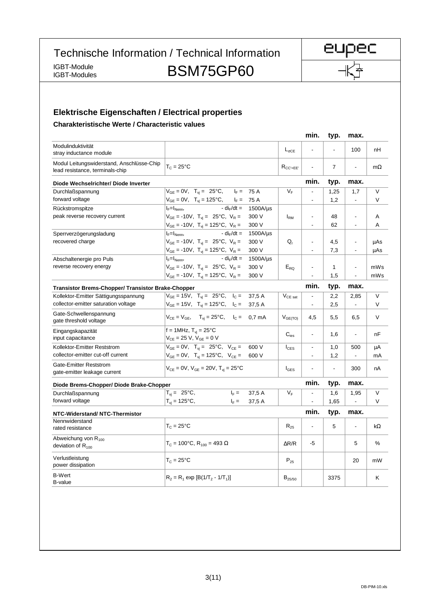Technische Information / Technical Information

IGBT-Module<br>IGBT-Modules

BSM75GP60

### **Elektrische Eigenschaften / Electrical properties**

**Charakteristische Werte / Characteristic values**

|                                                                              |                                                                     |                         | min.                     | typ.                     | max.           |           |
|------------------------------------------------------------------------------|---------------------------------------------------------------------|-------------------------|--------------------------|--------------------------|----------------|-----------|
| Modulinduktivität<br>stray inductance module                                 |                                                                     | $L_{\sigma CE}$         |                          |                          | 100            | nH        |
| Modul Leitungswiderstand, Anschlüsse-Chip<br>lead resistance, terminals-chip | $T_{\rm C}$ = 25°C                                                  | $R_{CC' + FF'}$         | $\overline{\phantom{a}}$ | $\overline{7}$           |                | $m\Omega$ |
| Diode Wechselrichter/ Diode Inverter                                         |                                                                     |                         | min.                     | typ.                     | max.           |           |
| Durchlaßspannung                                                             | $V_{GE} = 0V$ , $T_{vi} = 25^{\circ}C$ , $I_F = 75 A$               | $\mathsf{V}_\mathsf{F}$ | $\blacksquare$           | 1,25                     | 1,7            | $\vee$    |
| forward voltage                                                              | $V_{GE} = 0V$ , $T_{vj} = 125^{\circ}C$ , $I_F = 75 A$              |                         | $\blacksquare$           | 1,2                      | $\blacksquare$ | V         |
| Rückstromspitze                                                              | - di <sub>r</sub> /dt =<br>1500A/µs<br>$I_F=I_{Nenn}$               |                         |                          |                          |                |           |
| peak reverse recovery current                                                | $V_{GE}$ = -10V, $T_{vi}$ = 25°C, $V_R$ =<br>300 V                  | $I_{\rm RM}$            | ÷,                       | 48                       | $\blacksquare$ | A         |
|                                                                              | $V_{GE}$ = -10V, $T_{vj}$ = 125°C, $V_R$ =<br>300 V                 |                         | $\ddot{\phantom{a}}$     | 62                       | $\overline{a}$ | Α         |
| Sperrverzögerungsladung                                                      | - di <sub>r</sub> /dt =<br>$I_F=I_{Nenn}$<br>$1500A/\mu s$          |                         |                          |                          |                |           |
| recovered charge                                                             | $V_{GE}$ = -10V, $T_{vi}$ = 25°C, $V_R$ =<br>300 V                  | Q,                      | $\overline{a}$           | 4,5                      | $\blacksquare$ | µAs       |
|                                                                              | $V_{GE}$ = -10V, T <sub>vj</sub> = 125°C, V <sub>R</sub> =<br>300 V |                         | ÷,                       | 7,3                      |                | µAs       |
| Abschaltenergie pro Puls                                                     | - di <sub>r</sub> /dt =<br>$I_F=I_{Nenn}$<br>1500A/µs               |                         |                          |                          |                |           |
| reverse recovery energy                                                      | $V_{GE}$ = -10V, $T_{yi}$ = 25°C, $V_R$ =<br>300 V                  | $E_{RO}$                | $\overline{\phantom{a}}$ | $\mathbf{1}$             | $\blacksquare$ | mWs       |
|                                                                              | $V_{GE}$ = -10V, T <sub>vi</sub> = 125°C, V <sub>R</sub> =<br>300 V |                         | $\overline{a}$           | 1,5                      |                | mWs       |
| <b>Transistor Brems-Chopper/ Transistor Brake-Chopper</b>                    |                                                                     |                         | min.                     | typ.                     | max.           |           |
| Kollektor-Emitter Sättigungsspannung                                         | $V_{GE} = 15V$ , $T_{vi} = 25^{\circ}C$ , $I_C =$<br>37,5 A         | $V_{CE\ sat}$           | $\blacksquare$           | 2,2                      | 2,85           | $\vee$    |
| collector-emitter saturation voltage                                         | $V_{GE} = 15V$ , $T_{vi} = 125^{\circ}C$ , $I_C =$<br>37,5 A        |                         | $\blacksquare$           | 2,5                      |                | V         |
| Gate-Schwellenspannung<br>gate threshold voltage                             | $V_{CE} = V_{GE}$ , $T_{vi} = 25^{\circ}C$ , $I_{C} = 0.7$ mA       | $V_{GE(TO)}$            | 4,5                      | 5,5                      | 6,5            | $\vee$    |
| Eingangskapazität                                                            | $f = 1$ MHz, $T_{vi} = 25^{\circ}$ C                                |                         |                          |                          |                |           |
| input capacitance                                                            | $V_{CE} = 25 V, V_{GE} = 0 V$                                       | $C_{\text{ins}}$        | $\overline{\phantom{a}}$ | 1,6                      | $\blacksquare$ | nF        |
| Kollektor-Emitter Reststrom                                                  | $V_{GE} = 0V$ , $T_{vi} = 25^{\circ}C$ , $V_{CE} =$<br>600 V        | $I_{\text{CES}}$        | $\overline{\phantom{a}}$ | 1,0                      | 500            | μA        |
| collector-emitter cut-off current                                            | $V_{GE} = 0V$ , $T_{vi} = 125$ °C, $V_{CE} =$<br>600 V              |                         | ÷,                       | 1,2                      | $\overline{a}$ | mA        |
| Gate-Emitter Reststrom                                                       |                                                                     |                         |                          |                          |                |           |
| gate-emitter leakage current                                                 | $V_{CE} = 0V$ , $V_{GE} = 20V$ , $T_{vi} = 25^{\circ}C$             | $I_{\text{GES}}$        | $\overline{\phantom{a}}$ | $\overline{\phantom{a}}$ | 300            | nA        |
| Diode Brems-Chopper/ Diode Brake-Chopper                                     |                                                                     |                         | min.                     | typ.                     | max.           |           |
| Durchlaßspannung                                                             | $T_{vi} = 25^{\circ}C,$<br>37,5 A<br>$I_F =$                        | $V_F$                   | $\overline{\phantom{a}}$ | 1,6                      | 1,95           | $\vee$    |
| forward voltage                                                              | $T_{\rm vi} = 125^{\circ}C,$<br>$I_F =$<br>37,5 A                   |                         | $\blacksquare$           | 1,65                     | $\Box$         | V         |
| NTC-Widerstand/NTC-Thermistor                                                |                                                                     |                         | min.                     | typ.                     | max.           |           |
| Nennwiderstand<br>rated resistance                                           | $T_c = 25$ °C                                                       | $R_{25}$                | $\overline{\phantom{a}}$ | 5                        |                | $k\Omega$ |
| Abweichung von $R_{100}$<br>deviation of $R_{100}$                           | $T_c = 100^{\circ}$ C, R <sub>100</sub> = 493 Ω                     | $\Delta$ R/R            | $-5$                     |                          | 5              | %         |
| Verlustleistung<br>power dissipation                                         | $T_{\rm C}$ = 25°C                                                  | $P_{25}$                |                          |                          | 20             | mW        |
| <b>B-Wert</b><br>B-value                                                     | $R_2 = R_1 \exp [B(1/T_2 - 1/T_1)]$                                 | $B_{25/50}$             |                          | 3375                     |                | Κ         |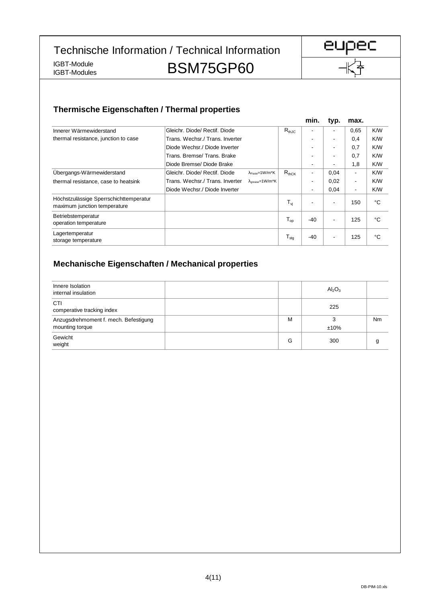Technische Information / Technical Information

IGBT-Module<br>IGBT-Modules

BSM75GP60



## **Thermische Eigenschaften / Thermal properties**

|                                                                        |                                 |                                                     |                  | min.  | typ.                     | max.                     |     |
|------------------------------------------------------------------------|---------------------------------|-----------------------------------------------------|------------------|-------|--------------------------|--------------------------|-----|
| Innerer Wärmewiderstand                                                | Gleichr. Diode/ Rectif. Diode   |                                                     | $R_{thJC}$       |       | $\overline{\phantom{0}}$ | 0.65                     | K/W |
| thermal resistance, junction to case                                   | Trans. Wechsr./ Trans. Inverter |                                                     |                  | -     | $\overline{\phantom{a}}$ | 0,4                      | K/W |
|                                                                        | Diode Wechsr./ Diode Inverter   |                                                     |                  | -     | $\overline{\phantom{a}}$ | 0,7                      | K/W |
|                                                                        | Trans, Bremse/Trans, Brake      |                                                     |                  | ٠     | $\blacksquare$           | 0,7                      | K/W |
|                                                                        | Diode Bremse/ Diode Brake       |                                                     |                  | -     | ٠                        | 1,8                      | K/W |
| Übergangs-Wärmewiderstand                                              | Gleichr. Diode/ Rectif. Diode   | $\lambda_{\text{Paste}} = 1 \text{W/m}^* \text{K}$  | $R_{thCK}$       | ٠     | 0,04                     | $\overline{\phantom{a}}$ | K/W |
| thermal resistance, case to heatsink                                   | Trans. Wechsr./ Trans. Inverter | $\lambda_{\text{orpass}} = 1 \text{W/m}^* \text{K}$ |                  | ٠     | 0,02                     | $\overline{\phantom{a}}$ | K/W |
|                                                                        | Diode Wechsr./ Diode Inverter   |                                                     |                  | ٠     | 0,04                     | $\blacksquare$           | K/W |
| Höchstzulässige Sperrschichttemperatur<br>maximum junction temperature |                                 |                                                     | $T_{\rm vj}$     | -     | $\overline{\phantom{a}}$ | 150                      | °C  |
| Betriebstemperatur<br>operation temperature                            |                                 |                                                     | $T_{op}$         | $-40$ | $\overline{\phantom{a}}$ | 125                      | °C  |
| Lagertemperatur<br>storage temperature                                 |                                 |                                                     | $T_{\text{stg}}$ | -40   | ٠                        | 125                      | °C  |

#### **Mechanische Eigenschaften / Mechanical properties**

| Innere Isolation<br>internal insulation                  |   | $Al_2O_3$    |    |
|----------------------------------------------------------|---|--------------|----|
| <b>CTI</b><br>comperative tracking index                 |   | 225          |    |
| Anzugsdrehmoment f. mech. Befestigung<br>mounting torque | M | 3<br>$±10\%$ | Nm |
| Gewicht<br>weight                                        | G | 300          |    |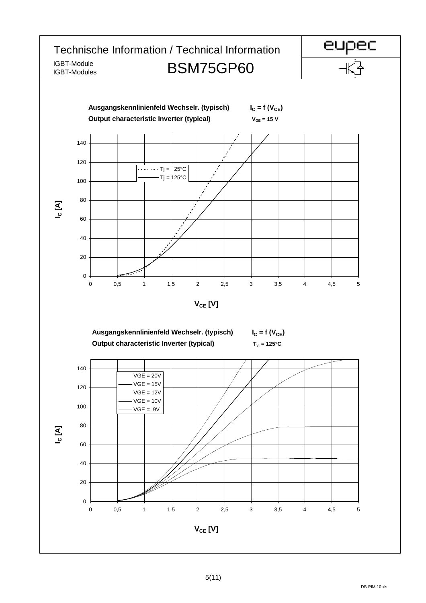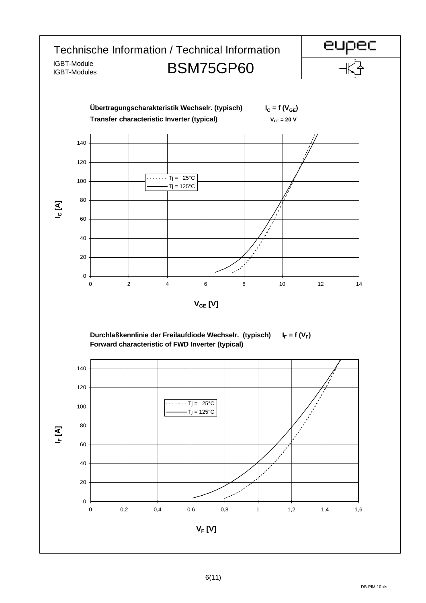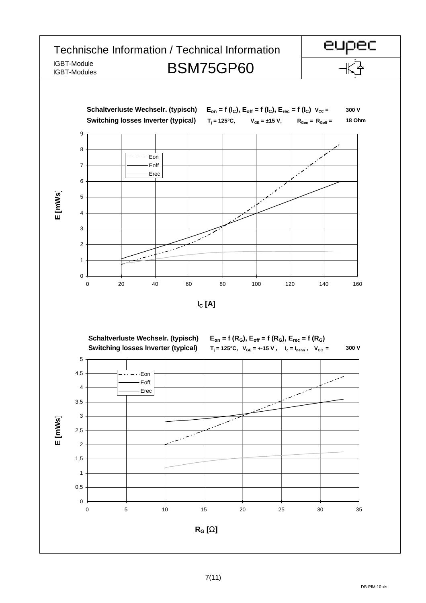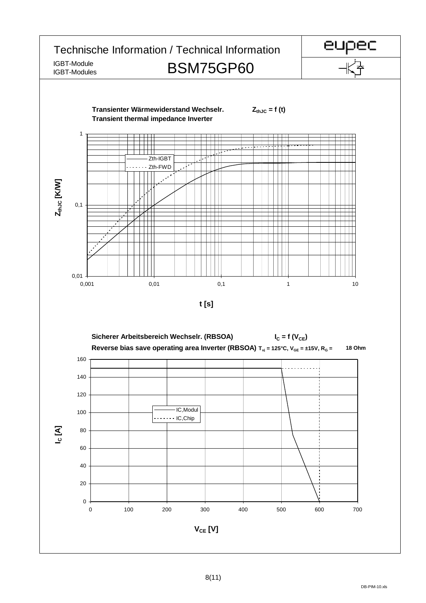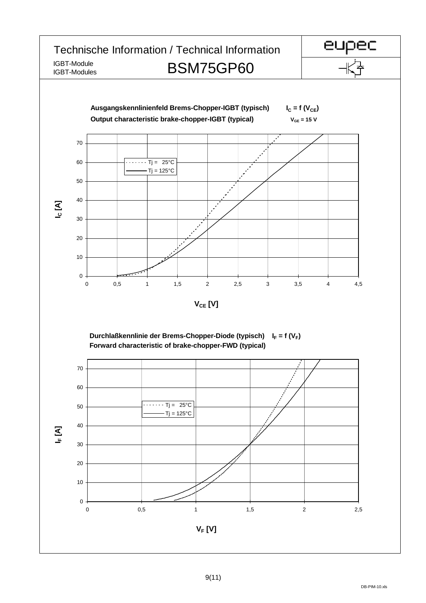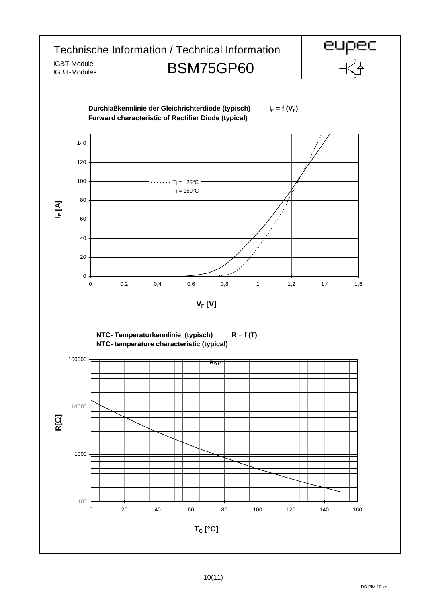